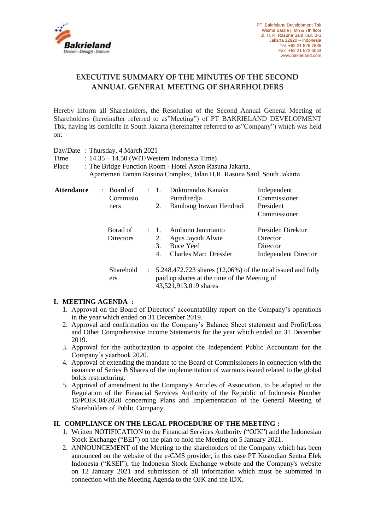

# **EXECUTIVE SUMMARY OF THE MINUTES OF THE SECOND ANNUAL GENERAL MEETING OF SHAREHOLDERS**

Hereby inform all Shareholders, the Resolution of the Second Annual General Meeting of Shareholders (hereinafter referred to as"Meeting") of PT BAKRIELAND DEVELOPMENT Tbk, having its domicile in South Jakarta (hereinafter referred to as"Company") which was held on:

|       | Day/Date: Thursday, 4 March 2021                                      |
|-------|-----------------------------------------------------------------------|
| Time  | : $14.35 - 14.50$ (WIT/Western Indonesia Time)                        |
| Place | : The Bridge Function Room - Hotel Aston Rasuna Jakarta,              |
|       | Apartemen Taman Rasuna Complex, Jalan H.R. Rasuna Said, South Jakarta |
|       |                                                                       |

| <b>Attendance</b> | $:$ Board of<br>Commisio<br>ners | $\therefore$ 1.<br>2.                                                                                                    | Doktorandus Kanaka<br>Puradiredia<br>Bambang Irawan Hendradi                        | Independent<br>Commissioner<br>President<br>Commissioner                 |
|-------------------|----------------------------------|--------------------------------------------------------------------------------------------------------------------------|-------------------------------------------------------------------------------------|--------------------------------------------------------------------------|
|                   | Borad of<br><b>Directors</b>     | $\pm$ 1.<br>2.<br>3.<br>4.                                                                                               | Ambono Janurianto<br>Agus Jayadi Alwie<br>Buce Yeef<br><b>Charles Marc Dressler</b> | Presiden Direktur<br>Director<br>Director<br><b>Independent Director</b> |
|                   | Sharehold<br>ers                 | $\therefore$ 5.248.472.723 shares (12,06%) of the total issued and fully<br>paid up shares at the time of the Meeting of |                                                                                     |                                                                          |

## **I. MEETING AGENDA :**

1. Approval on the Board of Directors' accountability report on the Company's operations in the year which ended on 31 December 2019.

43,521,913,019 shares

- 2. Approval and confirmation on the Company's Balance Sheet statement and Profit/Loss and Other Comprehensive Income Statements for the year which ended on 31 December 2019.
- 3. Approval for the authorization to appoint the Independent Public Accountant for the Company's yearbook 2020.
- 4. Approval of extending the mandate to the Board of Commissioners in connection with the issuance of Series B Shares of the implementation of warrants issued related to the global bolds restructuring.
- 5. Approval of amendment to the Company's Articles of Association, to be adapted to the Regulation of the Financial Services Authority of the Republic of Indonesia Number 15/POJK.04/2020 concerning Plans and Implementation of the General Meeting of Shareholders of Public Company.

## **II. COMPLIANCE ON THE LEGAL PROCEDURE OF THE MEETING :**

- 1. Written NOTIFICATION to the Financial Services Authority ("OJK") and the Indonesian Stock Exchange ("BEI") on the plan to hold the Meeting on 5 January 2021.
- 2. ANNOUNCEMENT of the Meeting to the shareholders of the Company which has been announced on the website of the e-GMS provider, in this case PT Kustodian Sentra Efek Indonesia ("KSEI"), the Indonesia Stock Exchange website and the Company's website on 12 January 2021 and submission of all information which must be submitted in connection with the Meeting Agenda to the OJK and the IDX.